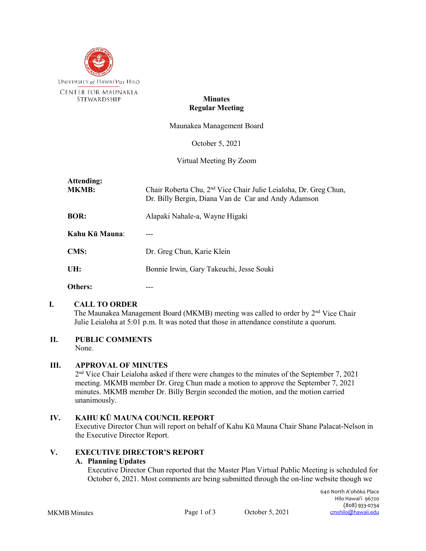

#### **Minutes Regular Meeting**

Maunakea Management Board

October 5, 2021

Virtual Meeting By Zoom

| Attending:<br><b>MKMB:</b> | Chair Roberta Chu, 2 <sup>nd</sup> Vice Chair Julie Leialoha, Dr. Greg Chun,<br>Dr. Billy Bergin, Diana Van de Car and Andy Adamson |
|----------------------------|-------------------------------------------------------------------------------------------------------------------------------------|
| <b>BOR:</b>                | Alapaki Nahale-a, Wayne Higaki                                                                                                      |
| Kahu Kū Mauna:             |                                                                                                                                     |
| <b>CMS:</b>                | Dr. Greg Chun, Karie Klein                                                                                                          |
| UH:                        | Bonnie Irwin, Gary Takeuchi, Jesse Souki                                                                                            |
| <b>Others:</b>             |                                                                                                                                     |

#### **I. CALL TO ORDER**

The Maunakea Management Board (MKMB) meeting was called to order by 2<sup>nd</sup> Vice Chair Julie Leialoha at 5:01 p.m. It was noted that those in attendance constitute a quorum.

# **II. PUBLIC COMMENTS**

None.

# **III. APPROVAL OF MINUTES**

2nd Vice Chair Leialoha asked if there were changes to the minutes of the September 7, 2021 meeting. MKMB member Dr. Greg Chun made a motion to approve the September 7, 2021 minutes. MKMB member Dr. Billy Bergin seconded the motion, and the motion carried unanimously.

# **IV. KAHU KŪ MAUNA COUNCIL REPORT**

Executive Director Chun will report on behalf of Kahu Kū Mauna Chair Shane Palacat-Nelson in the Executive Director Report.

# **V. EXECUTIVE DIRECTOR'S REPORT**

#### **A. Planning Updates**

Executive Director Chun reported that the Master Plan Virtual Public Meeting is scheduled for October 6, 2021. Most comments are being submitted through the on-line website though we

MKMB Minutes Page 1 of 3 October 5, 2021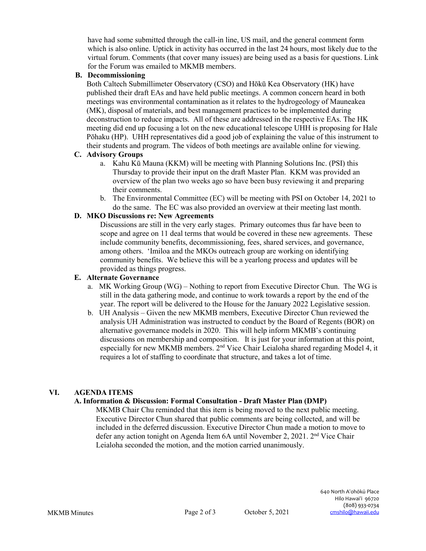have had some submitted through the call-in line, US mail, and the general comment form which is also online. Uptick in activity has occurred in the last 24 hours, most likely due to the virtual forum. Comments (that cover many issues) are being used as a basis for questions. Link for the Forum was emailed to MKMB members.

#### **B. Decommissioning**

Both Caltech Submillimeter Observatory (CSO) and Hōkū Kea Observatory (HK) have published their draft EAs and have held public meetings. A common concern heard in both meetings was environmental contamination as it relates to the hydrogeology of Mauneakea (MK), disposal of materials, and best management practices to be implemented during deconstruction to reduce impacts. All of these are addressed in the respective EAs. The HK meeting did end up focusing a lot on the new educational telescope UHH is proposing for Hale Pōhaku (HP). UHH representatives did a good job of explaining the value of this instrument to their students and program. The videos of both meetings are available online for viewing.

#### **C. Advisory Groups**

- a. Kahu Kū Mauna (KKM) will be meeting with Planning Solutions Inc. (PSI) this Thursday to provide their input on the draft Master Plan. KKM was provided an overview of the plan two weeks ago so have been busy reviewing it and preparing their comments.
- b. The Environmental Committee (EC) will be meeting with PSI on October 14, 2021 to do the same. The EC was also provided an overview at their meeting last month.

# **D. MKO Discussions re: New Agreements**

Discussions are still in the very early stages. Primary outcomes thus far have been to scope and agree on 11 deal terms that would be covered in these new agreements. These include community benefits, decommissioning, fees, shared services, and governance, among others. 'Imiloa and the MKOs outreach group are working on identifying community benefits. We believe this will be a yearlong process and updates will be provided as things progress.

### **E. Alternate Governance**

- a. MK Working Group (WG) Nothing to report from Executive Director Chun. The WG is still in the data gathering mode, and continue to work towards a report by the end of the year. The report will be delivered to the House for the January 2022 Legislative session.
- b. UH Analysis Given the new MKMB members, Executive Director Chun reviewed the analysis UH Administration was instructed to conduct by the Board of Regents (BOR) on alternative governance models in 2020. This will help inform MKMB's continuing discussions on membership and composition. It is just for your information at this point, especially for new MKMB members.  $2<sup>nd</sup>$  Vice Chair Leialoha shared regarding Model 4, it requires a lot of staffing to coordinate that structure, and takes a lot of time.

# **VI. AGENDA ITEMS**

# **A. Information & Discussion: Formal Consultation - Draft Master Plan (DMP)**

MKMB Chair Chu reminded that this item is being moved to the next public meeting. Executive Director Chun shared that public comments are being collected, and will be included in the deferred discussion. Executive Director Chun made a motion to move to defer any action tonight on Agenda Item 6A until November 2, 2021. 2<sup>nd</sup> Vice Chair Leialoha seconded the motion, and the motion carried unanimously.